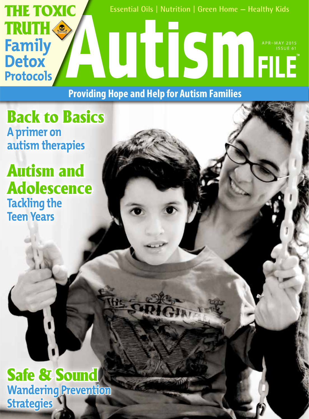

**Providing Hope and Help for Autism Families**

Back to Basics **A primer on autism therapies**

Autism and Adolescence **Tackling the Teen Years**

Safe & Sound **Wandering Prevention Strategies**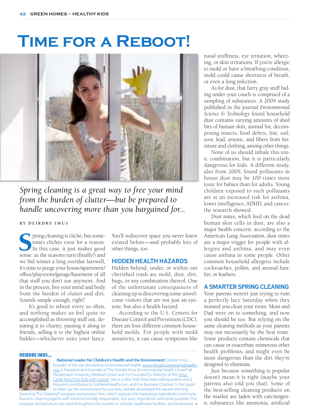# **Time for a Reboot!**



*Spring cleaning is a great way to free your mind from the burden of clutter—but be prepared to handle uncovering more than you bargained for...*

## **BY DEIRDRE IMUS**

Spring cleaning is cliché, but some-<br>times clichés exist for a reason.<br>In this case, it just makes good<br>sense: as the seasons turn (finally!) and times clichés exist for a reason. In this case, it just makes good we bid winter a long overdue farewell, it's time to purge your house/apartment/ office/playroom/garage/basement of all that stuff you don't use anymore. And in the process, free your mind and body from the burden of clutter and dirt. Sounds simple enough, right?

 It's good to reboot every so often, and nothing makes us feel quite so accomplished as throwing stuff out, donating it to charity, passing it along to friends, selling it to the highest online bidder—whichever suits your fancy.

You'll rediscover space you never knew existed before—and probably lots of other things, too.

## **HIDDEN HEALTH HAZARDS**

Hidden behind, under, or within our cherished trash are mold, dust, dirt, bugs, or any combination thereof. One of the unfortunate consequences of cleaning up is discovering some unwelcome visitors that are not just an eyesore, but also a health hazard.

According to the U.S. Centers for Disease Control and Prevention (CDC), there are four different common household molds. For people with mold sensitivity, it can cause symptoms like

#### DEIRDRE IMUS...



…**National Leader for Children's Health and the Environment** Deirdre Imus, founder of the site devoted to environmental health, www.imusenvironmentalhealth. org, is President and Founder of The Deirdre Imus Environmental Health Center® at Hackensack University Medical Center and Co-Founder/Co-Director of the Imus Cattle Ranch for Kids with Cancer. She is a *New York Times* best-selling author and a frequent contributor to FoxNewsHealth.com, and Fox Business Channel. In her quest to clean up the environment for our kids, Deirdre developed the award-winning

Greening The Cleaning® program and product line, which replaces the hazardous ingredients commonly found in cleaning agents with environmentally-responsible, less toxic ingredients whenever possible. The program and products are used throughout the country in schools, healthcare facilities, and businesses. nasal stuffiness, eye irritation, wheezing, or skin irritations. If you're allergic to mold or have a breathing condition, mold could cause shortness of breath, or even a lung infection.

As for dust, that furry gray stuff hiding under your couch is comprised of a sampling of substances. A 2009 study published in the journal *Environmental Science & Technology* found household dust contains varying amounts of shed bits of human skin, animal fur, decomposing insects, food debris, lint, soil, soot, lead, arsenic, and fibers from furniture and clothing, among other things.

None of us should inhale this toxic combination, but it is particularly dangerous for kids. A different study, also from 2009, found pollutants in house dust may be 100 times more toxic for babies than for adults. Young children exposed to such pollutants are at an increased risk for asthma, lower intelligence, ADHD, and cancer, the research showed.

Dust mites, which feed on the dead human skin cells in dust, are also a major health concern: according to the American Lung Association, dust mites are a major trigger for people with allergies and asthma, and may even cause asthma in some people. Other common household allergens include cockroaches, pollen, and animal hair, fur, or feathers.

## **A SMARTER SPRING CLEANING**

Your parents weren't just trying to ruin a perfectly lazy Saturday when they insisted you clean your room. Mom and Dad were on to something, and now you should be too. But relying on the same cleaning methods as your parents may not necessarily be the best route. Some products contain chemicals that can cause or exacerbate numerous other health problems, and might even be more dangerous than the dirt they're designed to eliminate.

Just because something is popular doesn't mean it is right (maybe your parents also told you that). Some of the best-selling cleaning products on the market are laden with carcinogenic substances like ammonia, artificial